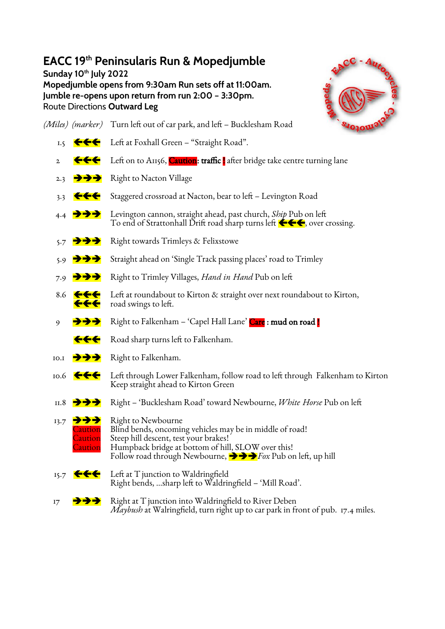## **EACC 19 th Peninsularis Run & Mopedjumble**

**Sunday 10th July 2022 Mopedjumble opens from 9:30am Run sets off at 11:00am. Jumble re-opens upon return from run 2:00 – 3:30pm.** Route Directions **Outward Leg**



*(Miles) (marker)* Turn left out of car park, and left – Bucklesham Road 1.5  $\leftarrow$  Left at Foxhall Green – "Straight Road".

- 2  $\leftarrow \leftarrow$  Left on to A1156, Caution: traffic after bridge take centre turning lane
- 2.3  $\rightarrow \rightarrow \rightarrow$  Right to Nacton Village
- 3.3  $\leftarrow\leftarrow$  Staggered crossroad at Nacton, bear to left Levington Road
- 4.4 ➔➔➔ Levington cannon, straight ahead, past church, *Ship* Pub on left To end of Strattonhall Drift road sharp turns left  $\leftarrow \leftarrow$ , over crossing.
- 5.7 ➔➔➔ Right towards Trimleys & Felixstowe
- 5.9 ➔➔➔ Straight ahead on 'Single Track passing places' road to Trimley
- 7.9 ➔➔➔ Right to Trimley Villages, *Hand in Hand* Pub on left
- 8.6  $\leftarrow \leftarrow$  Left at roundabout to Kirton & straight over next roundabout to Kirton, road swings to left.
- 9 **→→→** Right to Falkenham 'Capel Hall Lane' Care : mud on road |
	- **COLO** Road sharp turns left to Falkenham.
- 10.1 ➔➔➔ Right to Falkenham.
- 10.6 Left through Lower Falkenham, follow road to left through Falkenham to Kirton Keep straight ahead to Kirton Green
- 11.8 ➔➔➔ Right 'Bucklesham Road' toward Newbourne, *White Horse* Pub on left
- $13.7$   $\rightarrow$   $\rightarrow$  Right to Newbourne Caution Blind bends, oncoming vehicles may be in middle of road!<br>Caution Steep hill descent, test your brakes! Caution Steep hill descent, test your brakes!<br>Caution Humpback bridge at bottom of hill Humpback bridge at bottom of hill, SLOW over this! Follow road through Newbourne, ➔➔➔*Fox* Pub on left, up hill
- 15.7  $H = \n\begin{bmatrix}\n15.7 & \text{Left at } T \text{ junction to Waldringfield}\n\end{bmatrix}$ Right bends, …sharp left to Waldringfield – 'Mill Road'.
- $17 \rightarrow \rightarrow \rightarrow \rightarrow$  Right at T junction into Waldringfield to River Deben *Maybush* at Walringfield, turn right up to car park in front of pub. 17.4 miles.